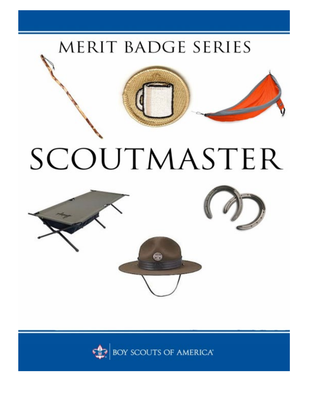## MERIT BADGE SERIES



## SCOUTMASTER